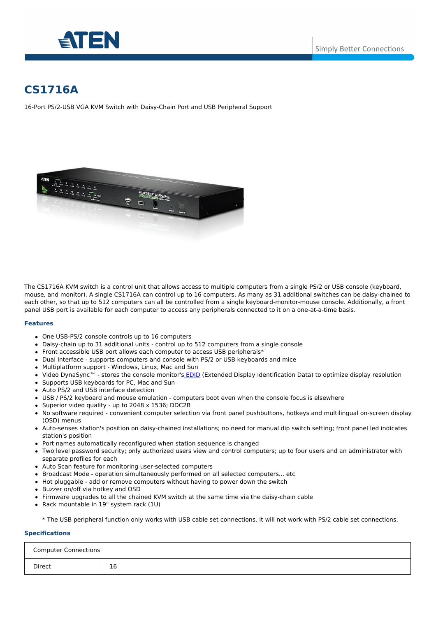



# **CS1716A**

16-Port PS/2-USB VGA KVM Switch with Daisy-Chain Port and USB Peripheral Support



The CS1716A KVM switch is a control unit that allows access to multiple computers from a single PS/2 or USB console (keyboard, mouse, and monitor). A single CS1716A can control up to 16 computers. As many as 31 additional switches can be daisy-chained to each other, so that up to 512 computers can all be controlled from a single keyboard-monitor-mouse console. Additionally, a front panel USB port is available for each computer to access any peripherals connected to it on a one-at-a-time basis.

#### **Features**

- One USB-PS/2 console controls up to 16 computers
- Daisy-chain up to 31 additional units control up to 512 computers from a single console
- Front accessible USB port allows each computer to access USB peripherals\*
- Dual Interface supports computers and console with PS/2 or USB keyboards and mice
- Multiplatform support Windows, Linux, Mac and Sun
- Video DynaSync™ stores the console monitor's [EDID](/global/en/resources/white-papers/?utm_medium=internal_link#a-47) (Extended Display Identification Data) to optimize display resolution
- Supports USB keyboards for PC, Mac and Sun
- Auto PS/2 and USB interface detection
- USB / PS/2 keyboard and mouse emulation computers boot even when the console focus is elsewhere
- Superior video quality up to 2048 x 1536; DDC2B
- No software required convenient computer selection via front panel pushbuttons, hotkeys and multilingual on-screen display (OSD) menus
- Auto-senses station's position on daisy-chained installations; no need for manual dip switch setting; front panel led indicates station's position
- Port names automatically reconfigured when station sequence is changed
- Two level password security; only authorized users view and control computers; up to four users and an administrator with separate profiles for each
- Auto Scan feature for monitoring user-selected computers
- Broadcast Mode operation simultaneously performed on all selected computers... etc
- Hot pluggable add or remove computers without having to power down the switch
- Buzzer on/off via hotkey and OSD
- Firmware upgrades to all the chained KVM switch at the same time via the daisy-chain cable
- Rack mountable in 19" system rack (1U)

\* The USB peripheral function only works with USB cable set connections. It will not work with PS/2 cable set connections.

# **Specifications**

| <b>Computer Connections</b> |    |
|-----------------------------|----|
| Direct                      | 16 |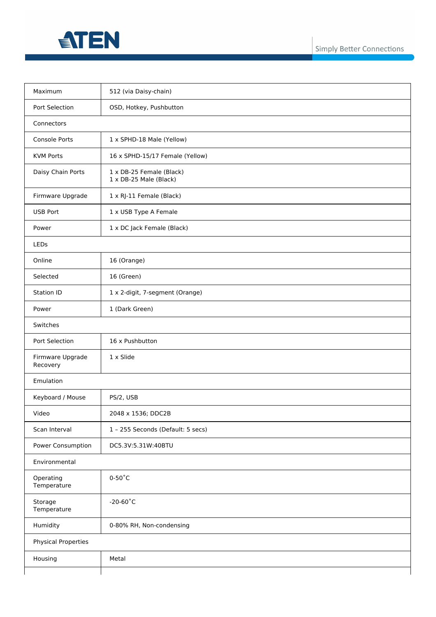

| Maximum                      | 512 (via Daisy-chain)                              |
|------------------------------|----------------------------------------------------|
| Port Selection               | OSD, Hotkey, Pushbutton                            |
| Connectors                   |                                                    |
| <b>Console Ports</b>         | 1 x SPHD-18 Male (Yellow)                          |
| <b>KVM Ports</b>             | 16 x SPHD-15/17 Female (Yellow)                    |
| Daisy Chain Ports            | 1 x DB-25 Female (Black)<br>1 x DB-25 Male (Black) |
| Firmware Upgrade             | 1 x RJ-11 Female (Black)                           |
| <b>USB Port</b>              | 1 x USB Type A Female                              |
| Power                        | 1 x DC Jack Female (Black)                         |
| LEDs                         |                                                    |
| Online                       | 16 (Orange)                                        |
| Selected                     | 16 (Green)                                         |
| Station ID                   | 1 x 2-digit, 7-segment (Orange)                    |
| Power                        | 1 (Dark Green)                                     |
| Switches                     |                                                    |
| Port Selection               | 16 x Pushbutton                                    |
| Firmware Upgrade<br>Recovery | 1 x Slide                                          |
| Emulation                    |                                                    |
| Keyboard / Mouse             | PS/2, USB                                          |
| Video                        | 2048 x 1536; DDC2B                                 |
| Scan Interval                | 1 - 255 Seconds (Default: 5 secs)                  |
| Power Consumption            | DC5.3V:5.31W:40BTU                                 |
| Environmental                |                                                    |
| Operating<br>Temperature     | $0-50^{\circ}$ C                                   |
| Storage<br>Temperature       | $-20-60^{\circ}$ C                                 |
| Humidity                     | 0-80% RH, Non-condensing                           |
| <b>Physical Properties</b>   |                                                    |
| Housing                      | Metal                                              |
|                              |                                                    |